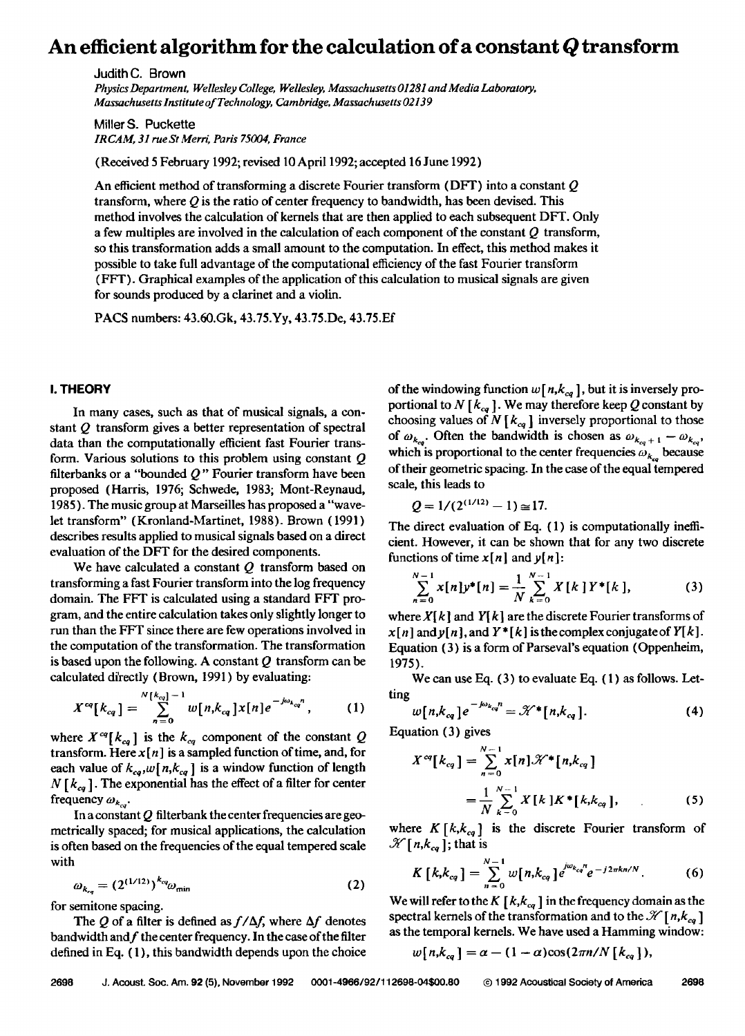# **An efficient algorithm for the calculation of a constant Q transform**

**Judith C. Brown** 

Physics Department, Wellesley College, Wellesley, Massachusetts 01281 and Media Laboratory, **Massachusetts Institute of Technology, Cambridge, Massachusetts 02139** 

**MillerS. Puckette IRCAM, 31 rue St Merri, Paris 75004, France** 

**(Received 5 February 1992; revised 10 April 1992; accepted 16 June 1992)** 

**An efficient method of transforming a discrete Fourier transform (DFT) into a constant Q transform, where Q is the ratio of center frequency to bandwidth, has been devised. This method involves the calculation of kernels that are then applied to each subsequent DFT. Only a few multiples are involved in the calculation of each component of the constant Q transform, so this transformation adds a small amount to the computation. In effect, this method makes it possible to take full advantage of the computational efficiency of the fast Fourier transform (FFT). Graphical examples of the application of this calculation to musical signals are given for sounds produced by a clarinet and a violin.** 

**PACS numbers: 43.60.Gk, 43.75.Yy, 43.75.Dc, 43.75.Ef** 

#### **I. THEORY**

**In many cases, such as that of musical signals, a constant Q transform gives a better representation of spectral data than the computationally efficient fast Fourier transform. Various solutions to this problem using constant Q filterbanks or a "bounded Q" Fourier transform have been proposed (Harris, 1976; Schwede, 1983; Mont-Reynaud, 1985). The music group at Marseilles has proposed a"wavelet transform" (Kronland-Martinet, 1988). Brown (1991) describes results applied to musical signals based on a direct evaluation of the DFT for the desired components.** 

**We have calculated a constant Q transform based on transforming a fast Fourier transform into the log frequency domain. The FFT is calculated using a standard FFT program, and the entire calculation takes only slightly longer to run than the FFT since there are few operations involved in the computation of the transformation. The transformation is based upon the following. A constant Q transform can be calculated directly (Brown, 1991 ) by evaluating:** 

$$
X^{cq}[k_{cq}] = \sum_{n=0}^{N[k_{cq}]-1} w[n,k_{cq}]x[n]e^{-j\omega_{k_{cq}n}}, \qquad (1)
$$

where  $X^{cq}[k_{cq}]$  is the  $k_{cq}$  component of the constant Q **transform.** Here  $x[n]$  is a sampled function of time, and, for each value of  $k_{ca}$ ,  $w[n,k_{ca}]$  is a window function of length  $N$   $[k_{eq}]$ . The exponential has the effect of a filter for center frequency  $\omega_{k_{\infty}}$ .

**In a constant Q filterbank the center frequencies are geometrically spaced; for musical applications, the calculation is often based on the frequencies of the equal tempered scale with** 

$$
\omega_{k_{eq}} = (2^{(1/12)})^{k_{eq}} \omega_{\min} \tag{2}
$$

**for semitone spacing.** 

The Q of a filter is defined as  $f/\Delta f$ , where  $\Delta f$  denotes bandwidth and f the center frequency. In the case of the filter **defined in Eq. ( 1 ), this bandwidth depends upon the choice**  of the windowing function  $w[n,k_{cq}]$ , but it is inversely proportional to N  $\lceil k_{ca} \rceil$ . We may therefore keep Q constant by choosing values of  $N$  [ $k_{eq}$ ] inversely proportional to those of  $\omega_{k_{\alpha}}$ . Often the bandwidth is chosen as  $\omega_{k_{\alpha}+1} - \omega_{k_{\alpha}}$ , which is proportional to the center frequencies  $\omega_{k_n}$  because **of their geometric spacing. In the case of the equal tempered scale, this leads to** 

$$
Q=1/(2^{(1/12)}-1)\approx 17.
$$

**The direct evaluation of Eq. { 1 ) is computationally inefficient. However, it can be shown that for any two discrete**  functions of time  $x[n]$  and  $y[n]$ :

$$
\sum_{n=0}^{N-1} x[n] y^*[n] = \frac{1}{N} \sum_{k=0}^{N-1} X[k] Y^*[k], \qquad (3)
$$

where  $X[k]$  and  $Y[k]$  are the discrete Fourier transforms of  $x[n]$  and  $y[n]$ , and  $Y^*[k]$  is the complex conjugate of  $Y[k]$ . **Equation (3) is a form of Parseval's equation (Oppenheim, 1975).** 

**We can use Eq. (3) to evaluate Eq. ( 1 ) as follows. Letting** 

$$
w[n,k_{cq}]e^{-j\omega_{k_{cq}}n} = \mathcal{K}^* [n,k_{cq}]. \tag{4}
$$

**Equation (3) gives** 

$$
X^{cq}[k_{cq}] = \sum_{n=0}^{N-1} x[n] \mathcal{K}^*[n, k_{cq}]
$$
  
= 
$$
\frac{1}{N} \sum_{k=0}^{N-1} X[k] K^*[k, k_{cq}],
$$
 (5)

where  $K [k, k_{eq}]$  is the discrete Fourier transform of  $\mathcal{H}[n,k_{eq}]$ ; that is

$$
K\left[k,k_{cq}\right]=\sum_{n=0}^{N-1}w[n,k_{cq}]e^{j\omega_{k_{cq}}n}e^{-j2\pi kn/N}.\tag{6}
$$

We will refer to the K  $[k, k_{cg}]$  in the frequency domain as the spectral kernels of the transformation and to the  $\mathcal{K}[n,k_{ca}]$ **as the temporal kernels. We have used a Hamming window:** 

$$
w[n,k_{cq}]=\alpha-(1-\alpha)\cos(2\pi n/N[k_{cq}]),
$$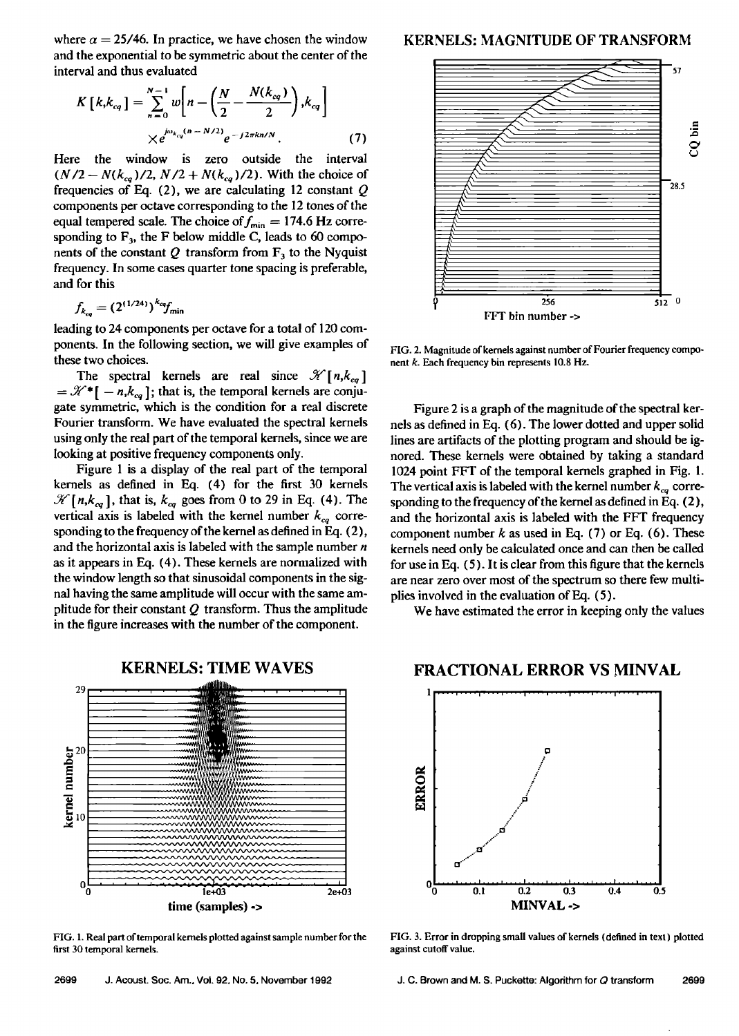where  $\alpha = 25/46$ . In practice, we have chosen the window **and the exponential to be symmetric about the center of the interval and thus evaluated** 

$$
K\left[k,k_{cq}\right] = \sum_{n=0}^{N-1} w\left[n - \left(\frac{N}{2} - \frac{N(k_{cq})}{2}\right), k_{cq}\right] \times e^{j\omega_{k_{cq}}(n - N/2)} e^{-j2\pi k n/N}.
$$
 (7)

**Here the window is zero outside the interval**   $(N/2 - N(k_{eq})/2, N/2 + N(k_{eq})/2)$ . With the choice of **frequencies of Eq. (2), we are calculating 12 constant Q components per octave corresponding to the 12 tones of the**  equal tempered scale. The choice of  $f_{\text{min}} = 174.6 \text{ Hz}$  corresponding to  $F_3$ , the F below middle C, leads to 60 components of the constant  $Q$  transform from  $F_3$  to the Nyquist **frequency. In some cases quarter tone spacing is preferable, and for this** 

$$
f_{k_{eq}} = (2^{(1/24)})^{k_{eq}} f_{\text{min}}
$$

**leading to 24 components per octave for a total of 120 components. In the following section, we will give examples of these two choices.** 

The spectral kernels are real since  $\mathcal{K}[n,k_{cg}]$  $=\mathcal{K}^*[-n,k_{eq}]$ ; that is, the temporal kernels are conju**gate symmetric, which is the condition for a real discrete Fourier transform. We have evaluated the spectral kernels using only the real part of the temporal kernels, since we are looking at positive frequency components only.** 

**Figure I is a display of the real part of the temporal kernels as defined in Eq. (4) for the first 30 kernels**   $\mathcal{H}[n,k_{eq}]$ , that is,  $k_{eq}$  goes from 0 to 29 in Eq. (4). The vertical axis is labeled with the kernel number  $k_{cq}$  corre**sponding to the frequency of the kernel as defined in Eq. (2), and the horizontal axis is labeled with the sample number n as it appears in Eq. (4). These kernels are normalized with the window length so that sinusoidal components in the signal having the same amplitude will occur with the same amplitude for their constant Q transform. Thus the amplitude in the figure increases with the number of the component.** 



**FIG. 1. Real part of temporal kernels plotted against sample number for the first 30 temporal kernels.** 

#### **KERNELS: MAGNITUDE OF TRANSFORM**



**FIG. 2. Magnitude of kernels against number of Fourier frequency component k. Each frequency bin represents 10.8 Hz.** 

**Figure 2 is a graph of the magnitude of the spectral kernels as defined in Eq. (6). The lower dotted and upper solid lines are artifacts of the plotting program and should be ignored. These kernels were obtained by taking a standard 1024 point FFT of the temporal kernels graphed in Fig. 1.**  The vertical axis is labeled with the kernel number  $k_{ca}$  corresponding to the frequency of the kernel as defined in Eq. (2), **and the horizontal axis is labeled with the FFT frequency component number k as used in Eq. (7) or Eq. (6). These kernels need only be calculated once and can then be called for use in Eq. (5). It is clear from this figure that the kernels are near zero over most of the spectrum so there few multiplies involved in the evaluation of Eq. (5).** 

**We have estimated the error in keeping only the values** 

# **FRACTIONAL ERROR VS MINVAL**



**FIG. 3. Error in dropping small values of kernels {defined in text) plotted against cutoff value.**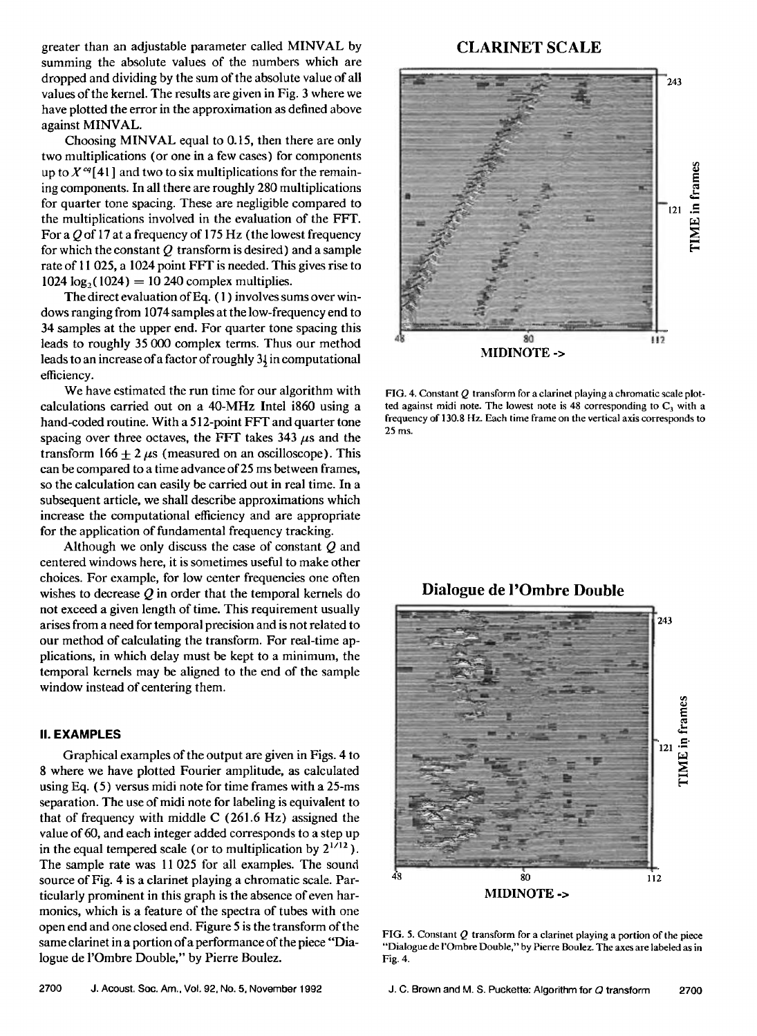**greater than an adjustable parameter called MINVAL by summing the absolute values of the numbers which are dropped and dividing by the sum of the absolute value of all values of the kernel. The results are given in Fig. 3 where we have plotted the error in the approximation as defined above against MINVAL.** 

**Choosing MINVAL equal to 0.15, then there are only two multiplications (or one in a few cases) for components**  up to  $X^{cq}[41]$  and two to six multiplications for the remain**ing components. In all there are roughly 280 multiplications for quarter tone spacing. These are negligible compared to the multiplications involved in the evaluation of the FFT. For a Q of 17 at a frequency of 175 Hz (the lowest frequency for which the constant Q transform is desired) and a sample rate of 11 025, a 1024 point FFT is needed. This gives rise to 1024 log,\_(1024) = 10 240 complex multiplies.** 

**The direct evaluation ofEq. ( 1 ) involves sums over windows ranging from 1074 samples at the low-frequency end to 34 samples at the upper end. For quarter tone spacing this leads to roughly 35 000 complex terms. Thus our method <sup>I</sup>leads to an increase of a factor of roughly 32 in computational efficiency.** 

**We have estimated the run time for our algorithm with calculations carried out on a 40-MHz Intel i860 using a hand-coded routine. With a 512-point FFT and quarter tone**  spacing over three octaves, the FFT takes  $343 \mu s$  and the transform  $166 + 2 \mu s$  (measured on an oscilloscope). This **can be compared to a time advance of 25 ms between frames, so the calculation can easily be carried out in real time. In a subsequent article, we shall describe approximations which increase the computational efficiency and are appropriate for the application of fundamental frequency tracking.** 

**Although we only discuss the case of constant Q and centered windows here, it is sometimes useful to make other choices. For example, for low center frequencies one often wishes to decrease Q in order that the temporal kernels do not exceed a given length of time. This requirement usually arises from a need for temporal precision and is not related to our method of calculating the transform. For real-time applications, in which delay must be kept to a minimum, the temporal kernels may be aligned to the end of the sample window instead of centering them.** 

#### **II. EXAMPLES**

**Graphical examples of the output are given in Figs. 4 to 8 where we have plotted Fourier amplitude, as calculated using Eq. (5) versus midi note for time frames with a 25-ms separation. The use of midi note for labeling is equivalent to that of frequency with middle C (261.6 Hz) assigned the value of 60, and each integer added corresponds to a step up**  in the equal tempered scale (or to multiplication by  $2^{1/12}$ ). **The sample rate was 11 025 for all examples. The sound source of Fig. 4 is a clarinet playing a chromatic scale. Particularly prominent in this graph is the absence of even harmonics, which is a feature of the spectra of tubes with one open end and one closed end. Figure 5 is the transform of the same clarinet in a portion of a performance of the piece "Dialogue de l'Ombre Double," by Pierre Boulez.** 

# **CLARINET SCALE**



**FIG. 4. Constant Q transform for a clarinet playing a chromatic scale plot**ted against midi note. The lowest note is  $48$  corresponding to  $C_3$  with a **frequency of 130.8 Hz. Each time frame on the vertical axis corresponds to 25 ms.** 



**FIG. 5. Constant Q transform for a clarinet playing a portion of the piece "Dialogue de I'Ombre Double," by Pierre Boulez. The axes are labeled as in Fig. 4.**